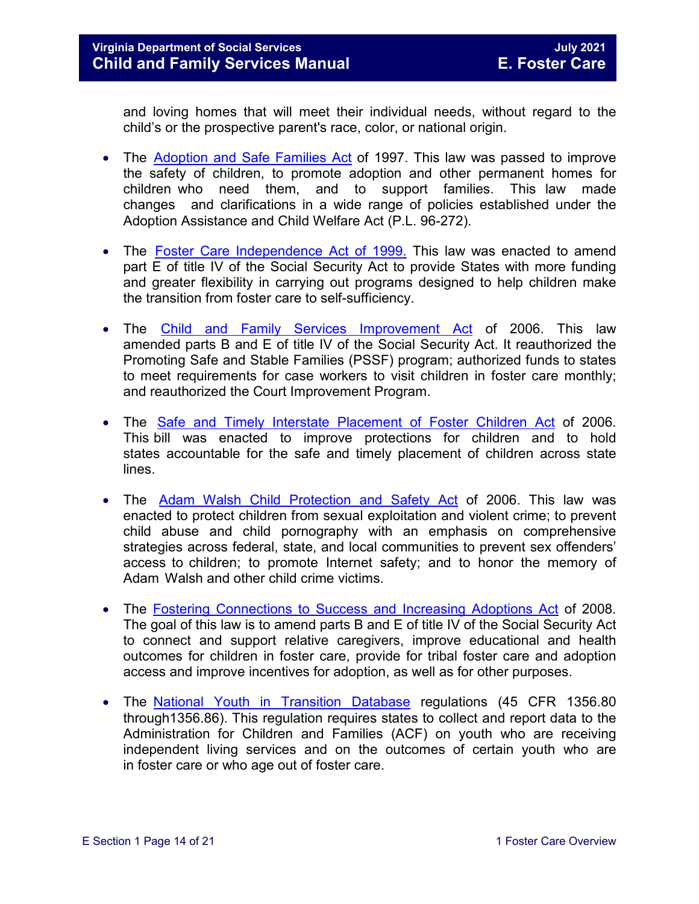and loving homes that will meet their individual needs, without regard to the child's or the prospective parent's race, color, or national origin.

- The [Adoption and Safe Families Act](https://www.congress.gov/105/plaws/publ89/PLAW-105publ89.pdf) of 1997. This law was passed to improve the safety of children, to promote adoption and other permanent homes for children who need them, and to support families. This law made changes and clarifications in a wide range of policies established under the Adoption Assistance and Child Welfare Act (P.L. 96-272).
- The [Foster Care Independence Act of 1999.](https://www.ssa.gov/legislation/legis_bulletin_112499.html) This law was enacted to amend part E of title IV of the Social Security Act to provide States with more funding and greater flexibility in carrying out programs designed to help children make the transition from foster care to self-sufficiency.
- The Child and Family Services Improvement Act of 2006. This law amended parts B and E of title IV of the Social Security Act. It reauthorized the Promoting Safe and Stable Families (PSSF) program; authorized funds to states to meet requirements for case workers to visit children in foster care monthly; and reauthorized the Court Improvement Program.
- The [Safe and Timely Interstate Placement of Foster Children Act](https://www.gpo.gov/fdsys/pkg/PLAW-109publ239/content-detail.html) of 2006. This bill was enacted to improve protections for children and to hold states accountable for the safe and timely placement of children across state lines.
- In from foster care to self-sufficiency.<br>
and Family Services Improvement Act of<br>
arts B and E of title IV of the Social Security Act. I<br>
Safe and Stable Families (PSSF) program; authoriz<br>
universely to visit children in f • The Adam Walsh Child Protection and Safety Act of 2006. This law was enacted to protect children from sexual exploitation and violent crime; to prevent child abuse and child pornography with an emphasis on comprehensive strategies across federal, state, and local communities to prevent sex offenders' access to children; to promote Internet safety; and to honor the memory of Adam Walsh and other child crime victims.
- The [Fostering Connections to Success and Increasing Adoptions Act](https://www.govinfo.gov/content/pkg/PLAW-110publ351/pdf/PLAW-110publ351.pdf) of 2008. The goal of this law is to amend parts B and E of title IV of the Social Security Act to connect and support relative caregivers, improve educational and health outcomes for children in foster care, provide for tribal foster care and adoption access and improve incentives for adoption, as well as for other purposes.
- The **National Youth in Transition Database** regulations (45 CFR 1356.80 through1356.86). This regulation requires states to collect and report data to the Administration for Children and Families (ACF) on youth who are receiving independent living services and on the outcomes of certain youth who are in foster care or who age out of foster care.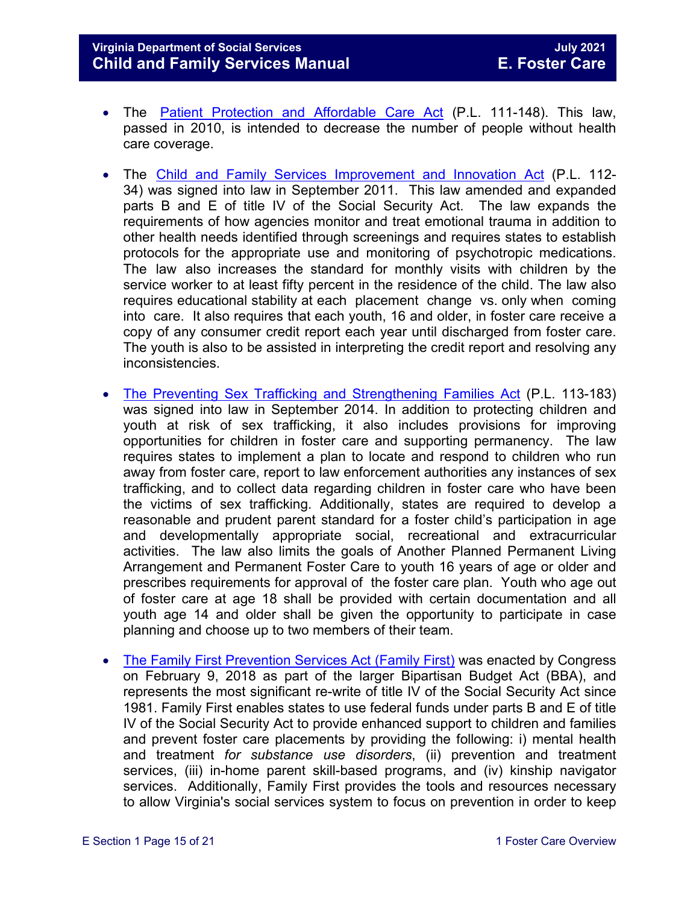## **Virginia Department of Social Services July 2021 Child and Family Services Manual E. Foster Care**

- The [Patient Protection and Affordable Care Act](https://www.gpo.gov/fdsys/pkg/PLAW-111publ148/content-detail.html) (P.L. 111-148). This law, passed in 2010, is intended to decrease the number of people without health care coverage.
- The Child and Family [Services Improvement](https://www.gpo.gov/fdsys/pkg/PLAW-112publ34/content-detail.html) and Innovation Act (P.L. 112- 34) was signed into law in September 2011. This law amended and expanded parts B and E of title IV of the Social Security Act. The law expands the requirements of how agencies monitor and treat emotional trauma in addition to other health needs identified through screenings and requires states to establish protocols for the appropriate use and monitoring of psychotropic medications. The law also increases the standard for monthly visits with children by the service worker to at least fifty percent in the residence of the child. The law also requires educational stability at each placement change vs. only when coming into care. It also requires that each youth, 16 and older, in foster care receive a copy of any consumer credit report each year until discharged from foster care. The youth is also to be assisted in interpreting the credit report and resolving any inconsistencies.
- ucational stability at each placement change vs. of<br>the side of requires that each youth, 16 and older, in fost<br>consumer credit report each year until discharged<br>salso to be assisted in interpreting the credit report<br>cies. • [The Preventing Sex Trafficking and Strengthening Families Act](https://www.congress.gov/113/plaws/publ183/PLAW-113publ183.pdf) (P.L. 113-183) was signed into law in September 2014. In addition to protecting children and youth at risk of sex trafficking, it also includes provisions for improving opportunities for children in foster care and supporting permanency. The law requires states to implement a plan to locate and respond to children who run away from foster care, report to law enforcement authorities any instances of sex trafficking, and to collect data regarding children in foster care who have been the victims of sex trafficking. Additionally, states are required to develop a reasonable and prudent parent standard for a foster child's participation in age and developmentally appropriate social, recreational and extracurricular activities. The law also limits the goals of Another Planned Permanent Living Arrangement and Permanent Foster Care to youth 16 years of age or older and prescribes requirements for approval of the foster care plan. Youth who age out of foster care at age 18 shall be provided with certain documentation and all youth age 14 and older shall be given the opportunity to participate in case planning and choose up to two members of their team.
- [The Family First Prevention Services Act \(Family First\)](https://www.congress.gov/115/plaws/publ123/PLAW-115publ123.pdf) was enacted by Congress on February 9, 2018 as part of the larger Bipartisan Budget Act (BBA), and represents the most significant re-write of title IV of the Social Security Act since 1981. Family First enables states to use federal funds under parts B and E of title IV of the Social Security Act to provide enhanced support to children and families and prevent foster care placements by providing the following: i) mental health and treatment *for substance use disorders*, (ii) prevention and treatment services, (iii) in-home parent skill-based programs, and (iv) kinship navigator services. Additionally, Family First provides the tools and resources necessary to allow Virginia's social services system to focus on prevention in order to keep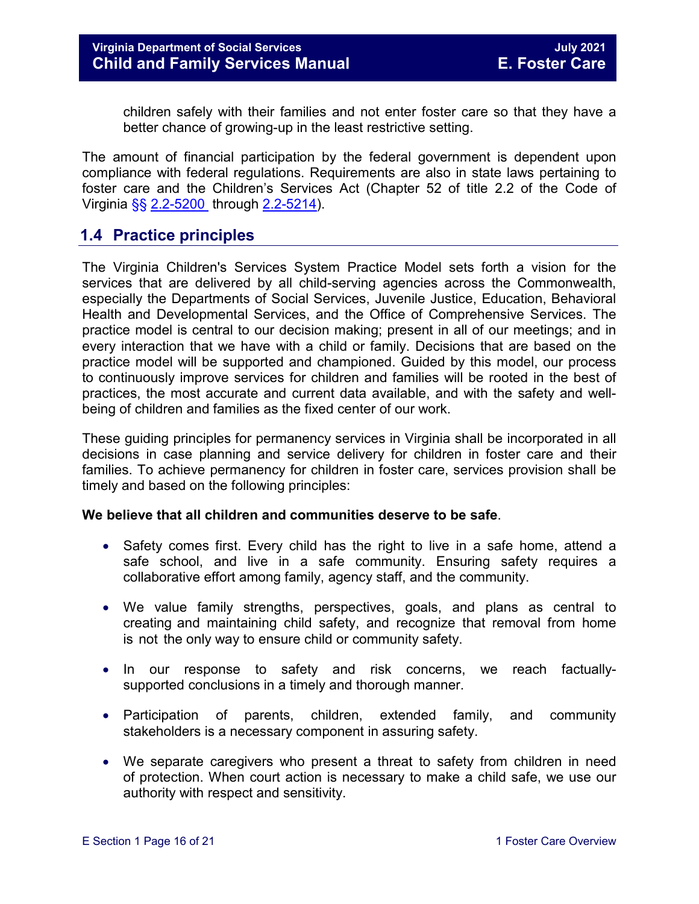children safely with their families and not enter foster care so that they have a better chance of growing-up in the least restrictive setting.

The amount of financial participation by the federal government is dependent upon compliance with federal regulations. Requirements are also in state laws pertaining to foster care and the Children's Services Act (Chapter 52 of title 2.2 of the Code of Virginia §§ [2.2-5200](https://law.lis.virginia.gov/vacode/2.2-5200/) through [2.2-5214\)](https://law.lis.virginia.gov/vacode/2.2-5214/).

## **1.4 Practice principles**

artments of Social Services, Juvenile Justice, Edupomental Services, and the Office of Comprehens<br>central to our decision making; present in all of our<br>hat we have with a child or family. Decisions that<br>I be supported and The Virginia Children's Services System Practice Model sets forth a vision for the services that are delivered by all child-serving agencies across the Commonwealth, especially the Departments of Social Services, Juvenile Justice, Education, Behavioral Health and Developmental Services, and the Office of Comprehensive Services. The practice model is central to our decision making; present in all of our meetings; and in every interaction that we have with a child or family. Decisions that are based on the practice model will be supported and championed. Guided by this model, our process to continuously improve services for children and families will be rooted in the best of practices, the most accurate and current data available, and with the safety and wellbeing of children and families as the fixed center of our work.

These guiding principles for permanency services in Virginia shall be incorporated in all decisions in case planning and service delivery for children in foster care and their families. To achieve permanency for children in foster care, services provision shall be timely and based on the following principles:

#### **We believe that all children and communities deserve to be safe**.

- Safety comes first. Every child has the right to live in a safe home, attend a safe school, and live in a safe community. Ensuring safety requires a collaborative effort among family, agency staff, and the community.
- We value family strengths, perspectives, goals, and plans as central to creating and maintaining child safety, and recognize that removal from home is not the only way to ensure child or community safety.
- In our response to safety and risk concerns, we reach factuallysupported conclusions in a timely and thorough manner.
- Participation of parents, children, extended family, and community stakeholders is a necessary component in assuring safety.
- We separate caregivers who present a threat to safety from children in need of protection. When court action is necessary to make a child safe, we use our authority with respect and sensitivity.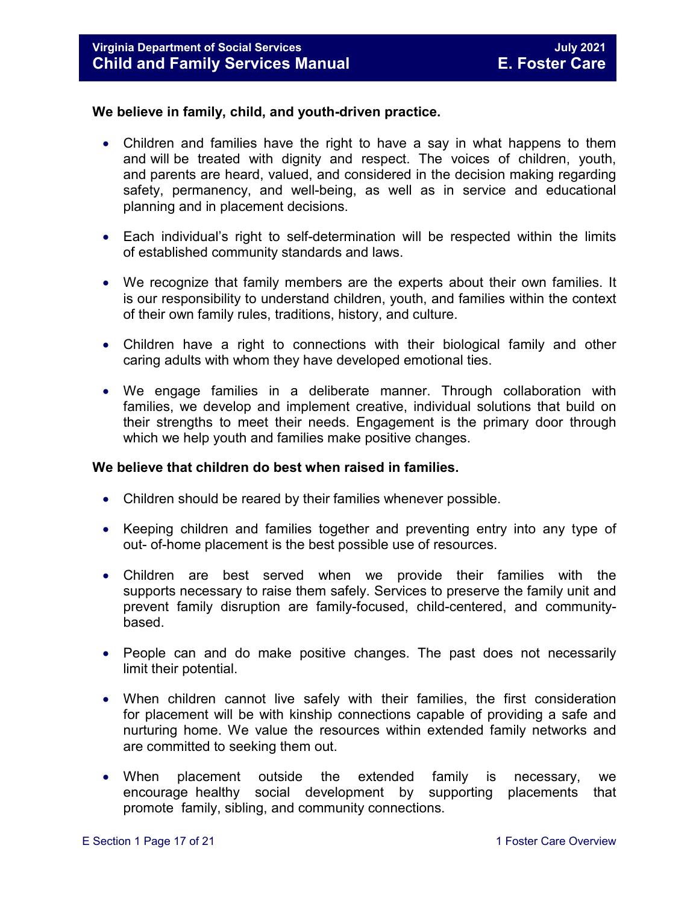#### **We believe in family, child, and youth-driven practice.**

- Children and families have the right to have a say in what happens to them and will be treated with dignity and respect. The voices of children, youth, and parents are heard, valued, and considered in the decision making regarding safety, permanency, and well-being, as well as in service and educational planning and in placement decisions.
- Each individual's right to self-determination will be respected within the limits of established community standards and laws.
- We recognize that family members are the experts about their own families. It is our responsibility to understand children, youth, and families within the context of their own family rules, traditions, history, and culture.
- Children have a right to connections with their biological family and other caring adults with whom they have developed emotional ties.
- Insibility to understand children, youth, and families<br>family rules, traditions, history, and culture.<br>ave a right to connections with their biological<br>s with whom they have developed emotional ties.<br>e families in a delibe • We engage families in a deliberate manner. Through collaboration with families, we develop and implement creative, individual solutions that build on their strengths to meet their needs. Engagement is the primary door through which we help youth and families make positive changes.

## **We believe that children do best when raised in families.**

- Children should be reared by their families whenever possible.
- Keeping children and families together and preventing entry into any type of out- of-home placement is the best possible use of resources.
- Children are best served when we provide their families with the supports necessary to raise them safely. Services to preserve the family unit and prevent family disruption are family-focused, child-centered, and communitybased.
- People can and do make positive changes. The past does not necessarily limit their potential.
- When children cannot live safely with their families, the first consideration for placement will be with kinship connections capable of providing a safe and nurturing home. We value the resources within extended family networks and are committed to seeking them out.
- When placement outside the extended family is necessary, we encourage healthy social development by supporting placements that promote family, sibling, and community connections.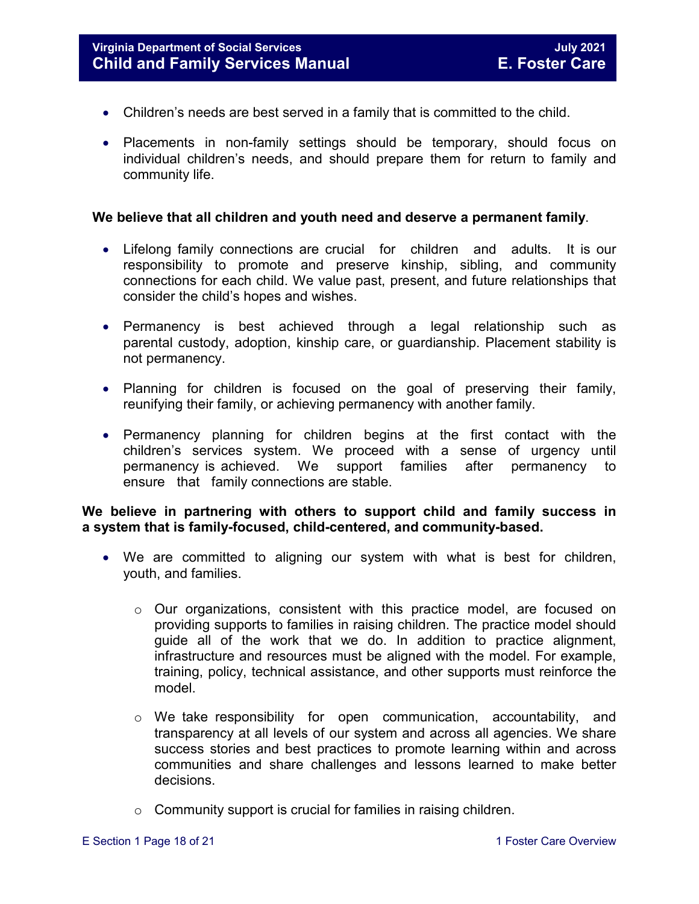- Children's needs are best served in a family that is committed to the child.
- Placements in non-family settings should be temporary, should focus on individual children's needs, and should prepare them for return to family and community life.

#### **We believe that all children and youth need and deserve a permanent family**.

- Lifelong family connections are crucial for children and adults. It is our responsibility to promote and preserve kinship, sibling, and community connections for each child. We value past, present, and future relationships that consider the child's hopes and wishes.
- Permanency is best achieved through a legal relationship such as parental custody, adoption, kinship care, or guardianship. Placement stability is not permanency.
- Planning for children is focused on the goal of preserving their family, reunifying their family, or achieving permanency with another family.
- explides the divisions.<br>
Section of the set of the set of the set of the set of the set of the set of the set of the set of the set of<br>
DRAFT Are controllern is focused on the goal of preser<br>
or children is focused on the • Permanency planning for children begins at the first contact with the children's services system. We proceed with a sense of urgency until permanency is achieved. We support families after permanency to ensure that family connections are stable.

#### **We believe in partnering with others to support child and family success in a system that is family-focused, child-centered, and community-based.**

- We are committed to aligning our system with what is best for children, youth, and families.
	- o Our organizations, consistent with this practice model, are focused on providing supports to families in raising children. The practice model should guide all of the work that we do. In addition to practice alignment, infrastructure and resources must be aligned with the model. For example, training, policy, technical assistance, and other supports must reinforce the model.
	- o We take responsibility for open communication, accountability, and transparency at all levels of our system and across all agencies. We share success stories and best practices to promote learning within and across communities and share challenges and lessons learned to make better decisions.
	- o Community support is crucial for families in raising children.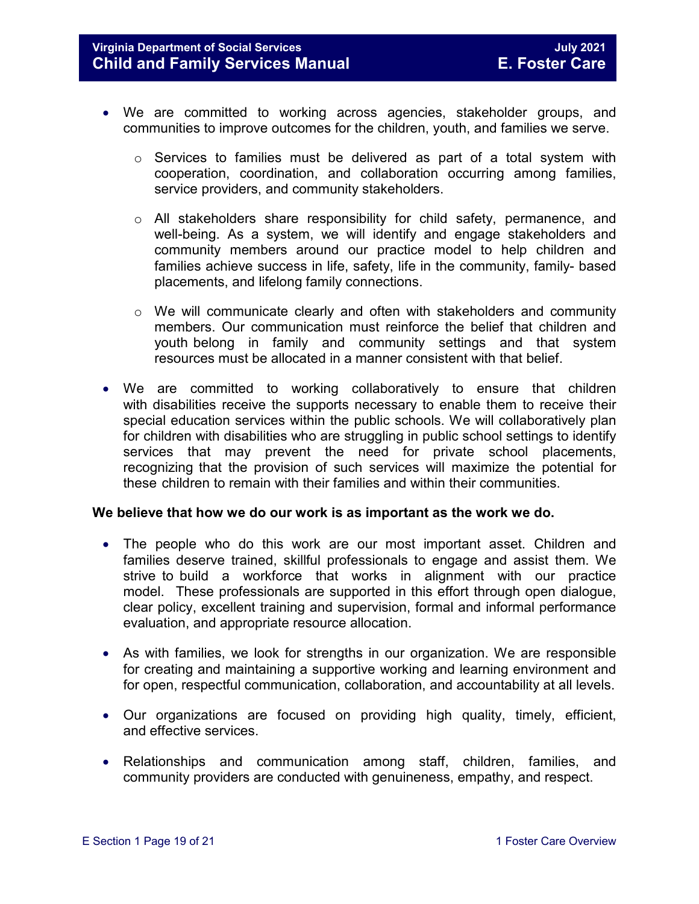## **Virginia Department of Social Services**<br> **Child and Family Services Manual Child and Family Services Manual Child and Family Services Manual Child and Family Services Manual**

- We are committed to working across agencies, stakeholder groups, and communities to improve outcomes for the children, youth, and families we serve.
	- o Services to families must be delivered as part of a total system with cooperation, coordination, and collaboration occurring among families, service providers, and community stakeholders.
	- $\circ$  All stakeholders share responsibility for child safety, permanence, and well-being. As a system, we will identify and engage stakeholders and community members around our practice model to help children and families achieve success in life, safety, life in the community, family- based placements, and lifelong family connections.
	- o We will communicate clearly and often with stakeholders and community members. Our communication must reinforce the belief that children and youth belong in family and community settings and that system resources must be allocated in a manner consistent with that belief.
- Il communicate clearly and often with stakeholders. Our communication must reinforce the belief belong in family and community settings a<br>ces must be allocated in a manner consistent with tl<br>committed to working collaborat • We are committed to working collaboratively to ensure that children with disabilities receive the supports necessary to enable them to receive their special education services within the public schools. We will collaboratively plan for children with disabilities who are struggling in public school settings to identify services that may prevent the need for private school placements, recognizing that the provision of such services will maximize the potential for these children to remain with their families and within their communities.

#### **We believe that how we do our work is as important as the work we do.**

- The people who do this work are our most important asset. Children and families deserve trained, skillful professionals to engage and assist them. We strive to build a workforce that works in alignment with our practice model. These professionals are supported in this effort through open dialogue, clear policy, excellent training and supervision, formal and informal performance evaluation, and appropriate resource allocation.
- As with families, we look for strengths in our organization. We are responsible for creating and maintaining a supportive working and learning environment and for open, respectful communication, collaboration, and accountability at all levels.
- Our organizations are focused on providing high quality, timely, efficient, and effective services.
- Relationships and communication among staff, children, families, and community providers are conducted with genuineness, empathy, and respect.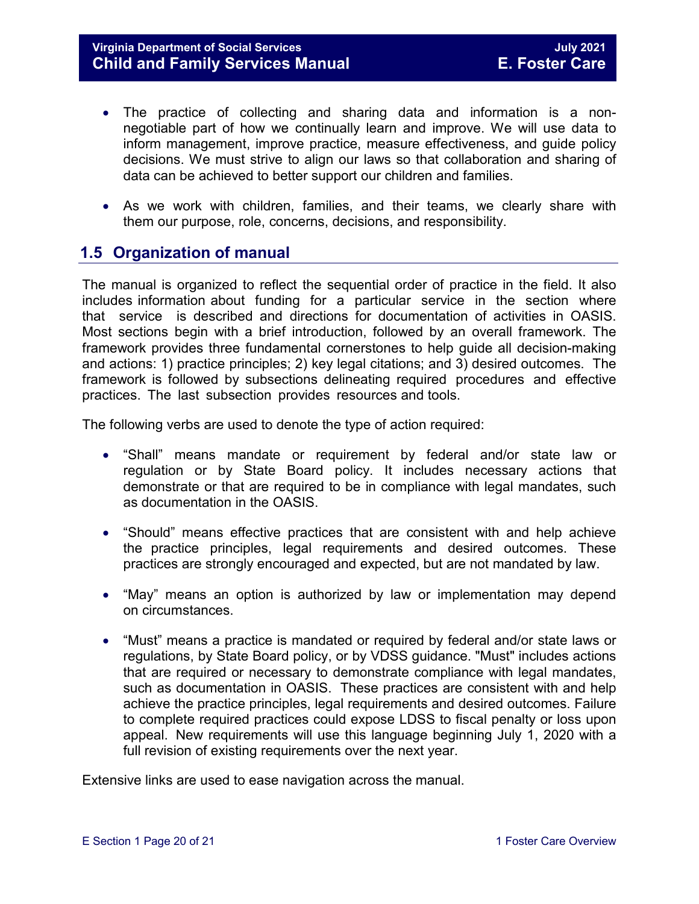## **Virginia Department of Social Services**<br> **Child and Family Services Manual Child and Family Services Manual Child and Family Services Manual Child and Family Services Manual**

- The practice of collecting and sharing data and information is a nonnegotiable part of how we continually learn and improve. We will use data to inform management, improve practice, measure effectiveness, and guide policy decisions. We must strive to align our laws so that collaboration and sharing of data can be achieved to better support our children and families.
- As we work with children, families, and their teams, we clearly share with them our purpose, role, concerns, decisions, and responsibility.

# **1.5 Organization of manual**

In about funding for a particular service in the described and directions for documentation of action with a brief introduction, followed by an overa<br>s three fundamental cornerstones to help guide a<br>actice principles; 2) k The manual is organized to reflect the sequential order of practice in the field. It also includes information about funding for a particular service in the section where that service is described and directions for documentation of activities in OASIS. Most sections begin with a brief introduction, followed by an overall framework. The framework provides three fundamental cornerstones to help guide all decision-making and actions: 1) practice principles; 2) key legal citations; and 3) desired outcomes. The framework is followed by subsections delineating required procedures and effective practices. The last subsection provides resources and tools.

The following verbs are used to denote the type of action required:

- "Shall" means mandate or requirement by federal and/or state law or regulation or by State Board policy. It includes necessary actions that demonstrate or that are required to be in compliance with legal mandates, such as documentation in the OASIS.
- "Should" means effective practices that are consistent with and help achieve the practice principles, legal requirements and desired outcomes. These practices are strongly encouraged and expected, but are not mandated by law.
- "May" means an option is authorized by law or implementation may depend on circumstances.
- "Must" means a practice is mandated or required by federal and/or state laws or regulations, by State Board policy, or by VDSS guidance. "Must" includes actions that are required or necessary to demonstrate compliance with legal mandates, such as documentation in OASIS. These practices are consistent with and help achieve the practice principles, legal requirements and desired outcomes. Failure to complete required practices could expose LDSS to fiscal penalty or loss upon appeal. New requirements will use this language beginning July 1, 2020 with a full revision of existing requirements over the next year.

Extensive links are used to ease navigation across the manual.